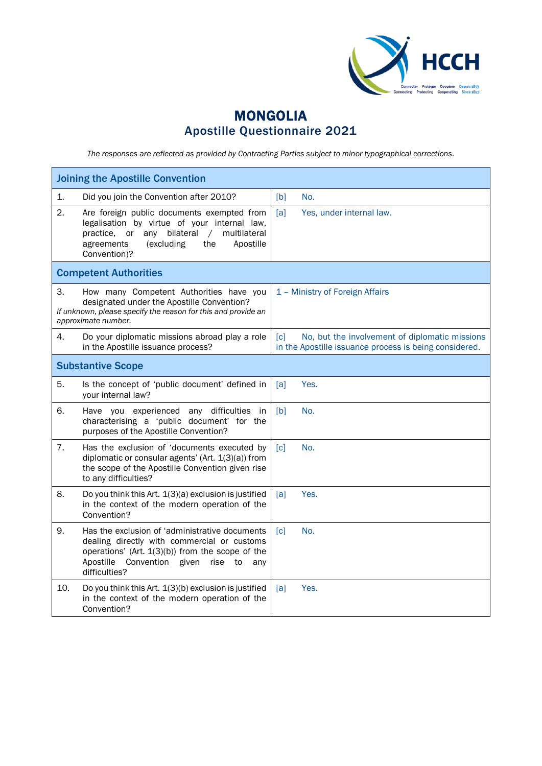

## MONGOLIA Apostille Questionnaire 2021

*The responses are reflected as provided by Contracting Parties subject to minor typographical corrections.*

| <b>Joining the Apostille Convention</b>                                                                                                                                                                                            |                                                                                                                               |  |  |
|------------------------------------------------------------------------------------------------------------------------------------------------------------------------------------------------------------------------------------|-------------------------------------------------------------------------------------------------------------------------------|--|--|
| 1.<br>Did you join the Convention after 2010?                                                                                                                                                                                      | No.<br>[b]                                                                                                                    |  |  |
| 2.<br>Are foreign public documents exempted from<br>legalisation by virtue of your internal law,<br>any bilateral<br>practice.<br>or<br>$\sqrt{2}$<br>multilateral<br>agreements<br>(excluding<br>the<br>Apostille<br>Convention)? | [a]<br>Yes, under internal law.                                                                                               |  |  |
| <b>Competent Authorities</b>                                                                                                                                                                                                       |                                                                                                                               |  |  |
| 3.<br>How many Competent Authorities have you<br>designated under the Apostille Convention?<br>If unknown, please specify the reason for this and provide an<br>approximate number.                                                | 1 - Ministry of Foreign Affairs                                                                                               |  |  |
| 4.<br>Do your diplomatic missions abroad play a role<br>in the Apostille issuance process?                                                                                                                                         | No, but the involvement of diplomatic missions<br>$\lceil c \rceil$<br>in the Apostille issuance process is being considered. |  |  |
| <b>Substantive Scope</b>                                                                                                                                                                                                           |                                                                                                                               |  |  |
| 5.<br>Is the concept of 'public document' defined in<br>your internal law?                                                                                                                                                         | Yes.<br>[a]                                                                                                                   |  |  |
| 6.<br>Have you experienced any difficulties in<br>characterising a 'public document' for the<br>purposes of the Apostille Convention?                                                                                              | [b]<br>No.                                                                                                                    |  |  |
| 7.<br>Has the exclusion of 'documents executed by<br>diplomatic or consular agents' (Art. 1(3)(a)) from<br>the scope of the Apostille Convention given rise<br>to any difficulties?                                                | No.<br>$\lceil c \rceil$                                                                                                      |  |  |
| 8.<br>Do you think this Art. 1(3)(a) exclusion is justified<br>in the context of the modern operation of the<br>Convention?                                                                                                        | [a]<br>Yes.                                                                                                                   |  |  |
| 9.<br>Has the exclusion of 'administrative documents<br>dealing directly with commercial or customs<br>operations' (Art. $1(3)(b)$ ) from the scope of the<br>Apostille<br>Convention given<br>rise<br>to<br>any<br>difficulties?  | $\lceil c \rceil$<br>No.                                                                                                      |  |  |
| 10.<br>Do you think this Art. 1(3)(b) exclusion is justified<br>in the context of the modern operation of the<br>Convention?                                                                                                       | Yes.<br>[a]                                                                                                                   |  |  |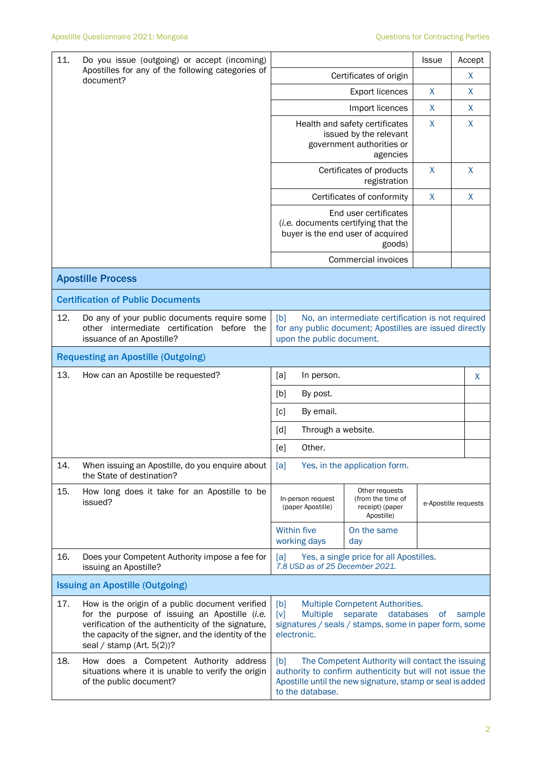| 11.<br>Do you issue (outgoing) or accept (incoming)<br>Apostilles for any of the following categories of<br>document? |                                                                                                                                                                                                                                               |                                                                                                                                                                                                      |                                                                      | <b>Issue</b> | Accept               |
|-----------------------------------------------------------------------------------------------------------------------|-----------------------------------------------------------------------------------------------------------------------------------------------------------------------------------------------------------------------------------------------|------------------------------------------------------------------------------------------------------------------------------------------------------------------------------------------------------|----------------------------------------------------------------------|--------------|----------------------|
|                                                                                                                       | Certificates of origin                                                                                                                                                                                                                        |                                                                                                                                                                                                      | X                                                                    |              |                      |
|                                                                                                                       |                                                                                                                                                                                                                                               |                                                                                                                                                                                                      | <b>Export licences</b>                                               | X            | X                    |
|                                                                                                                       |                                                                                                                                                                                                                                               | Import licences<br>Health and safety certificates<br>issued by the relevant<br>government authorities or<br>agencies                                                                                 |                                                                      | X            | X                    |
|                                                                                                                       |                                                                                                                                                                                                                                               |                                                                                                                                                                                                      |                                                                      | $\sf X$      | $\mathsf{X}$         |
|                                                                                                                       |                                                                                                                                                                                                                                               |                                                                                                                                                                                                      | Certificates of products<br>registration                             | X            | $\mathsf{X}$         |
|                                                                                                                       |                                                                                                                                                                                                                                               | Certificates of conformity                                                                                                                                                                           |                                                                      | X            | X                    |
|                                                                                                                       | End user certificates<br>(i.e. documents certifying that the<br>buyer is the end user of acquired                                                                                                                                             |                                                                                                                                                                                                      |                                                                      |              |                      |
|                                                                                                                       |                                                                                                                                                                                                                                               |                                                                                                                                                                                                      | Commercial invoices                                                  |              |                      |
|                                                                                                                       | <b>Apostille Process</b>                                                                                                                                                                                                                      |                                                                                                                                                                                                      |                                                                      |              |                      |
|                                                                                                                       | <b>Certification of Public Documents</b>                                                                                                                                                                                                      |                                                                                                                                                                                                      |                                                                      |              |                      |
| 12.                                                                                                                   | Do any of your public documents require some<br>other intermediate certification before the<br>issuance of an Apostille?                                                                                                                      | [b]<br>No, an intermediate certification is not required<br>for any public document; Apostilles are issued directly<br>upon the public document.                                                     |                                                                      |              |                      |
|                                                                                                                       | <b>Requesting an Apostille (Outgoing)</b>                                                                                                                                                                                                     |                                                                                                                                                                                                      |                                                                      |              |                      |
| 13.                                                                                                                   | How can an Apostille be requested?                                                                                                                                                                                                            | [a]<br>In person.                                                                                                                                                                                    |                                                                      |              | X                    |
|                                                                                                                       |                                                                                                                                                                                                                                               | [b]<br>By post.                                                                                                                                                                                      |                                                                      |              |                      |
|                                                                                                                       |                                                                                                                                                                                                                                               | [c]<br>By email.<br>Through a website.<br>[d]                                                                                                                                                        |                                                                      |              |                      |
|                                                                                                                       |                                                                                                                                                                                                                                               |                                                                                                                                                                                                      |                                                                      |              |                      |
|                                                                                                                       |                                                                                                                                                                                                                                               | Other.<br>[e]                                                                                                                                                                                        |                                                                      |              |                      |
| 14.                                                                                                                   | When issuing an Apostille, do you enquire about<br>the State of destination?                                                                                                                                                                  | Yes, in the application form.<br>[a]                                                                                                                                                                 |                                                                      |              |                      |
| 15.                                                                                                                   | How long does it take for an Apostille to be<br>issued?                                                                                                                                                                                       | In-person request<br>(paper Apostille)                                                                                                                                                               | Other requests<br>(from the time of<br>receipt) (paper<br>Apostille) |              | e-Apostille requests |
|                                                                                                                       |                                                                                                                                                                                                                                               | <b>Within five</b><br>working days                                                                                                                                                                   | On the same<br>day                                                   |              |                      |
| 16.                                                                                                                   | Does your Competent Authority impose a fee for<br>issuing an Apostille?                                                                                                                                                                       | Yes, a single price for all Apostilles.<br>[a]<br>7.8 USD as of 25 December 2021.                                                                                                                    |                                                                      |              |                      |
|                                                                                                                       | <b>Issuing an Apostille (Outgoing)</b>                                                                                                                                                                                                        |                                                                                                                                                                                                      |                                                                      |              |                      |
| 17.                                                                                                                   | How is the origin of a public document verified<br>for the purpose of issuing an Apostille (i.e.<br>verification of the authenticity of the signature,<br>the capacity of the signer, and the identity of the<br>seal / stamp (Art. $5(2)$ )? | [b]<br>Multiple Competent Authorities.<br>[v]<br><b>Multiple</b><br>separate<br>databases<br><b>of</b><br>sample<br>signatures / seals / stamps, some in paper form, some<br>electronic.             |                                                                      |              |                      |
| 18.                                                                                                                   | How does a Competent Authority address<br>situations where it is unable to verify the origin<br>of the public document?                                                                                                                       | The Competent Authority will contact the issuing<br>[b]<br>authority to confirm authenticity but will not issue the<br>Apostille until the new signature, stamp or seal is added<br>to the database. |                                                                      |              |                      |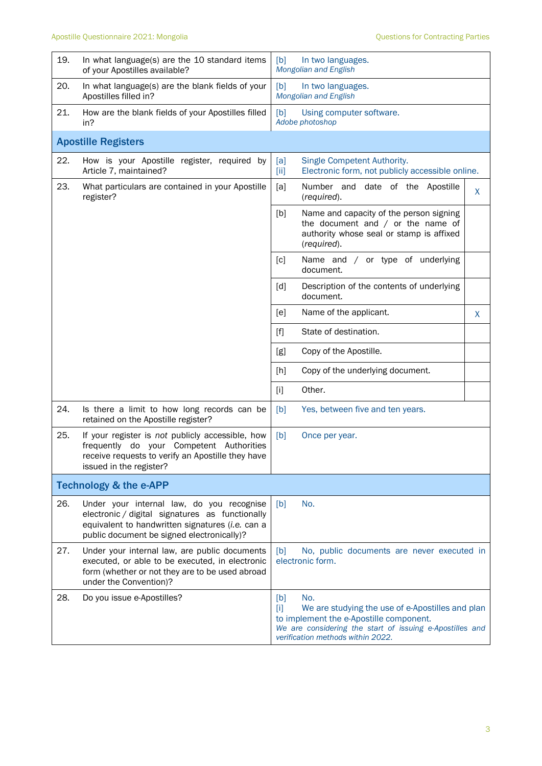| 19. | In what language(s) are the 10 standard items<br>of your Apostilles available?                                                                                                                 | [b]<br>In two languages.<br><b>Mongolian and English</b>                                                                                                                                                            |
|-----|------------------------------------------------------------------------------------------------------------------------------------------------------------------------------------------------|---------------------------------------------------------------------------------------------------------------------------------------------------------------------------------------------------------------------|
| 20. | In what language(s) are the blank fields of your<br>Apostilles filled in?                                                                                                                      | [b]<br>In two languages.<br>Mongolian and English                                                                                                                                                                   |
| 21. | How are the blank fields of your Apostilles filled<br>in?                                                                                                                                      | [b]<br>Using computer software.<br>Adobe photoshop                                                                                                                                                                  |
|     | <b>Apostille Registers</b>                                                                                                                                                                     |                                                                                                                                                                                                                     |
| 22. | How is your Apostille register, required by<br>Article 7, maintained?                                                                                                                          | Single Competent Authority.<br>[a]<br>Electronic form, not publicly accessible online.<br>$[iii]$                                                                                                                   |
| 23. | What particulars are contained in your Apostille<br>register?                                                                                                                                  | Number and date of the Apostille<br>[a]<br>X<br>(required).                                                                                                                                                         |
|     |                                                                                                                                                                                                | Name and capacity of the person signing<br>[b]<br>the document and $/$ or the name of<br>authority whose seal or stamp is affixed<br>(required).                                                                    |
|     |                                                                                                                                                                                                | [c]<br>Name and / or type of underlying<br>document.                                                                                                                                                                |
|     |                                                                                                                                                                                                | Description of the contents of underlying<br>[d]<br>document.                                                                                                                                                       |
|     |                                                                                                                                                                                                | [e]<br>Name of the applicant.<br>X                                                                                                                                                                                  |
|     |                                                                                                                                                                                                | State of destination.<br>$[f]$                                                                                                                                                                                      |
|     |                                                                                                                                                                                                | Copy of the Apostille.<br>[g]                                                                                                                                                                                       |
|     |                                                                                                                                                                                                | Copy of the underlying document.<br>[h]                                                                                                                                                                             |
|     |                                                                                                                                                                                                | $[1]$<br>Other.                                                                                                                                                                                                     |
| 24. | Is there a limit to how long records can be<br>retained on the Apostille register?                                                                                                             | [b]<br>Yes, between five and ten years.                                                                                                                                                                             |
| 25. | If your register is not publicly accessible, how<br>frequently do your Competent Authorities<br>receive requests to verify an Apostille they have<br>issued in the register?                   | [b]<br>Once per year.                                                                                                                                                                                               |
|     | <b>Technology &amp; the e-APP</b>                                                                                                                                                              |                                                                                                                                                                                                                     |
| 26. | Under your internal law, do you recognise<br>electronic / digital signatures as functionally<br>equivalent to handwritten signatures (i.e. can a<br>public document be signed electronically)? | No.<br>[b]                                                                                                                                                                                                          |
| 27. | Under your internal law, are public documents<br>executed, or able to be executed, in electronic<br>form (whether or not they are to be used abroad<br>under the Convention)?                  | No, public documents are never executed in<br>[b]<br>electronic form.                                                                                                                                               |
| 28. | Do you issue e-Apostilles?                                                                                                                                                                     | No.<br>[b]<br>$[1]$<br>We are studying the use of e-Apostilles and plan<br>to implement the e-Apostille component.<br>We are considering the start of issuing e-Apostilles and<br>verification methods within 2022. |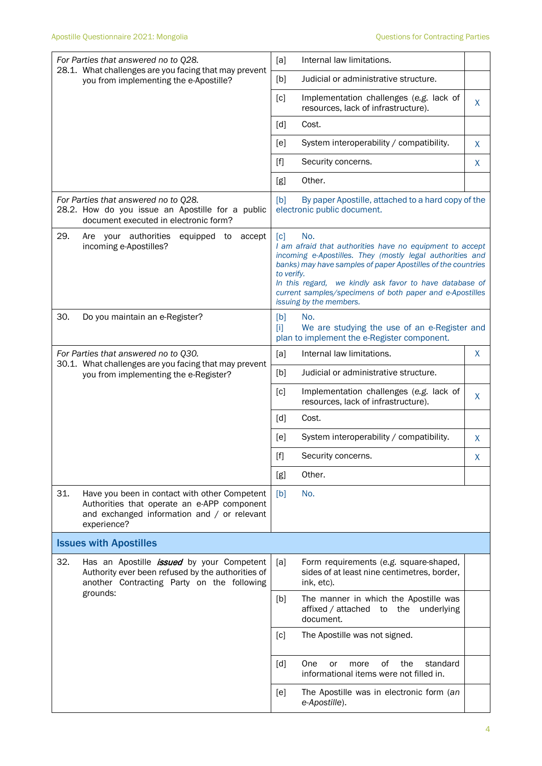| For Parties that answered no to Q28.<br>28.1. What challenges are you facing that may prevent<br>you from implementing the e-Apostille?                           | Internal law limitations.<br>[a]                                                                                                                                                                                                                                                                                                                                    |  |  |
|-------------------------------------------------------------------------------------------------------------------------------------------------------------------|---------------------------------------------------------------------------------------------------------------------------------------------------------------------------------------------------------------------------------------------------------------------------------------------------------------------------------------------------------------------|--|--|
|                                                                                                                                                                   | Judicial or administrative structure.<br>[b]                                                                                                                                                                                                                                                                                                                        |  |  |
|                                                                                                                                                                   | Implementation challenges (e.g. lack of<br>[c]<br>X<br>resources, lack of infrastructure).                                                                                                                                                                                                                                                                          |  |  |
|                                                                                                                                                                   | [d]<br>Cost.                                                                                                                                                                                                                                                                                                                                                        |  |  |
|                                                                                                                                                                   | System interoperability / compatibility.<br>[e]<br>X                                                                                                                                                                                                                                                                                                                |  |  |
|                                                                                                                                                                   | $[f]$<br>Security concerns.<br>X                                                                                                                                                                                                                                                                                                                                    |  |  |
|                                                                                                                                                                   | Other.<br>[g]                                                                                                                                                                                                                                                                                                                                                       |  |  |
| For Parties that answered no to Q28.<br>28.2. How do you issue an Apostille for a public<br>document executed in electronic form?                                 | By paper Apostille, attached to a hard copy of the<br>[b]<br>electronic public document.                                                                                                                                                                                                                                                                            |  |  |
| 29.<br>Are your authorities<br>equipped to<br>accept<br>incoming e-Apostilles?                                                                                    | [c]<br>No.<br>I am afraid that authorities have no equipment to accept<br>incoming e-Apostilles. They (mostly legal authorities and<br>banks) may have samples of paper Apostilles of the countries<br>to verify.<br>In this regard, we kindly ask favor to have database of<br>current samples/specimens of both paper and e-Apostilles<br>issuing by the members. |  |  |
| 30.<br>Do you maintain an e-Register?                                                                                                                             | [b]<br>No.<br>We are studying the use of an e-Register and<br>m<br>plan to implement the e-Register component.                                                                                                                                                                                                                                                      |  |  |
| For Parties that answered no to Q30.                                                                                                                              | Internal law limitations.<br>X<br>[a]                                                                                                                                                                                                                                                                                                                               |  |  |
| 30.1. What challenges are you facing that may prevent<br>you from implementing the e-Register?                                                                    | Judicial or administrative structure.<br>[b]                                                                                                                                                                                                                                                                                                                        |  |  |
|                                                                                                                                                                   | [c]<br>Implementation challenges (e.g. lack of<br>X<br>resources, lack of infrastructure).                                                                                                                                                                                                                                                                          |  |  |
|                                                                                                                                                                   | [d]<br>Cost.                                                                                                                                                                                                                                                                                                                                                        |  |  |
|                                                                                                                                                                   | System interoperability / compatibility.<br>[e]<br>X                                                                                                                                                                                                                                                                                                                |  |  |
|                                                                                                                                                                   | $[f] % \begin{center} % \includegraphics[width=\linewidth]{imagesSupplemental_3.png} % \end{center} % \caption { % Our method can be used for the use of the image. % Note that the \emph{Left:} \label{fig:case} \vspace{-1em} % \label{fig:case} %$<br>Security concerns.<br>X                                                                                    |  |  |
|                                                                                                                                                                   | Other.<br>[g]                                                                                                                                                                                                                                                                                                                                                       |  |  |
| 31.<br>Have you been in contact with other Competent<br>Authorities that operate an e-APP component<br>and exchanged information and / or relevant<br>experience? | No.<br>[b]                                                                                                                                                                                                                                                                                                                                                          |  |  |
| <b>Issues with Apostilles</b>                                                                                                                                     |                                                                                                                                                                                                                                                                                                                                                                     |  |  |
| 32.<br>Has an Apostille <i>issued</i> by your Competent<br>Authority ever been refused by the authorities of<br>another Contracting Party on the following        | [a]<br>Form requirements (e.g. square-shaped,<br>sides of at least nine centimetres, border,<br>ink, etc).                                                                                                                                                                                                                                                          |  |  |
| grounds:                                                                                                                                                          | The manner in which the Apostille was<br>[b]<br>affixed / attached<br>the underlying<br>to<br>document.                                                                                                                                                                                                                                                             |  |  |
|                                                                                                                                                                   | [c]<br>The Apostille was not signed.                                                                                                                                                                                                                                                                                                                                |  |  |
|                                                                                                                                                                   | of<br>standard<br>[d]<br>One<br>the<br>or<br>more<br>informational items were not filled in.                                                                                                                                                                                                                                                                        |  |  |
|                                                                                                                                                                   | The Apostille was in electronic form (an<br>[e]<br>e-Apostille).                                                                                                                                                                                                                                                                                                    |  |  |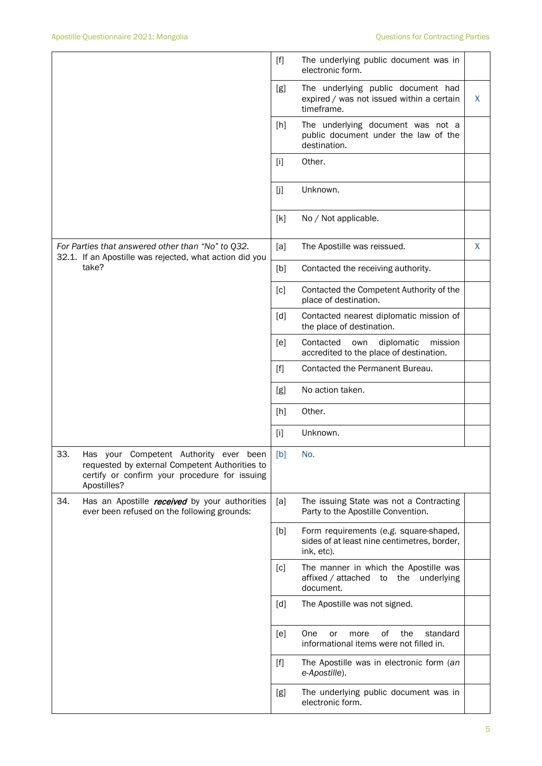|                                                                                                                                                                       | The underlying public document was in<br>$[f]$<br>electronic form.                                         |    |
|-----------------------------------------------------------------------------------------------------------------------------------------------------------------------|------------------------------------------------------------------------------------------------------------|----|
|                                                                                                                                                                       | The underlying public document had<br>[g]<br>expired / was not issued within a certain<br>timeframe.       | X. |
|                                                                                                                                                                       | The underlying document was not a<br>[h]<br>public document under the law of the<br>destination.           |    |
|                                                                                                                                                                       | Other.<br>$[1]$                                                                                            |    |
|                                                                                                                                                                       | Unknown.<br>[]                                                                                             |    |
|                                                                                                                                                                       | No / Not applicable.<br>[k]                                                                                |    |
| For Parties that answered other than "No" to Q32.<br>32.1. If an Apostille was rejected, what action did you                                                          | [a]<br>The Apostille was reissued.                                                                         | X  |
| take?                                                                                                                                                                 | [b]<br>Contacted the receiving authority.                                                                  |    |
|                                                                                                                                                                       | Contacted the Competent Authority of the<br>[c]<br>place of destination.                                   |    |
|                                                                                                                                                                       | [d]<br>Contacted nearest diplomatic mission of<br>the place of destination.                                |    |
|                                                                                                                                                                       | Contacted<br>diplomatic<br>mission<br>[e]<br>own<br>accredited to the place of destination.                |    |
|                                                                                                                                                                       | Contacted the Permanent Bureau.<br>[f]                                                                     |    |
|                                                                                                                                                                       | No action taken.<br>[g]                                                                                    |    |
|                                                                                                                                                                       | Other.<br>[h]                                                                                              |    |
|                                                                                                                                                                       | $[1]$<br>Unknown.                                                                                          |    |
| 33.<br>Competent Authority ever<br>Has your<br>been<br>requested by external Competent Authorities to<br>certify or confirm your procedure for issuing<br>Apostilles? | $[b]$<br>No.                                                                                               |    |
| 34.<br>Has an Apostille <i>received</i> by your authorities<br>ever been refused on the following grounds:                                                            | The issuing State was not a Contracting<br>[a]<br>Party to the Apostille Convention.                       |    |
|                                                                                                                                                                       | Form requirements (e.g. square-shaped,<br>[b]<br>sides of at least nine centimetres, border,<br>ink, etc). |    |
|                                                                                                                                                                       | The manner in which the Apostille was<br>[c]<br>affixed / attached to the underlying<br>document.          |    |
|                                                                                                                                                                       | [d]<br>The Apostille was not signed.                                                                       |    |
|                                                                                                                                                                       | 0f<br>the<br>[e]<br>One<br>standard<br>or<br>more<br>informational items were not filled in.               |    |
|                                                                                                                                                                       | The Apostille was in electronic form (an<br>$[f]$<br>e-Apostille).                                         |    |
|                                                                                                                                                                       | [g]<br>The underlying public document was in<br>electronic form.                                           |    |